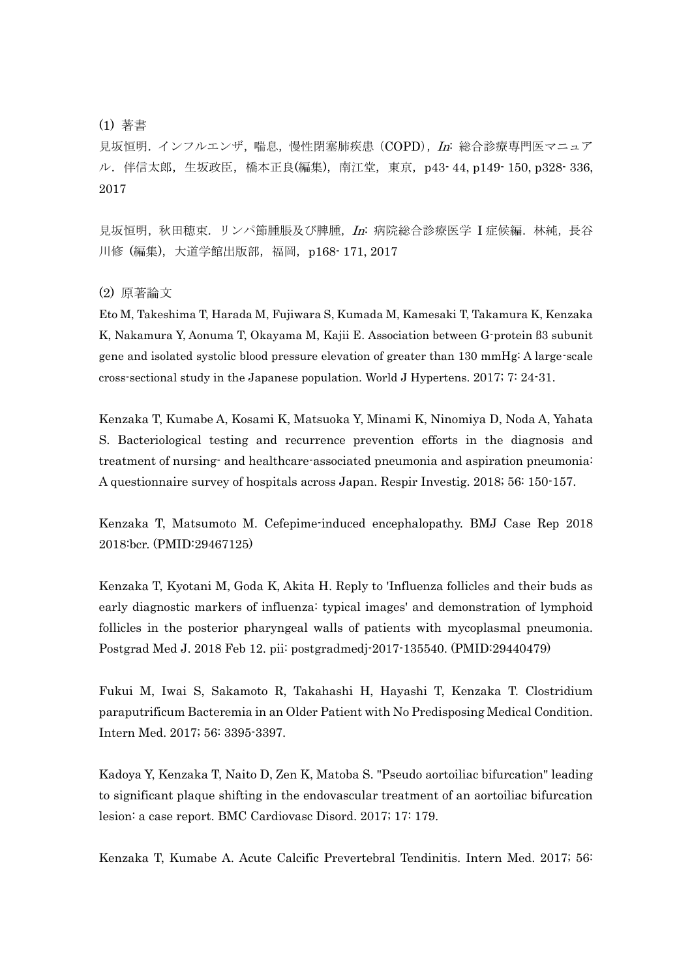## (1) 著書

見坂恒明. インフルエンザ,喘息,慢性閉塞肺疾患 (COPD), In: 総合診療専門医マニュア ル. 伴信太郎, 生坂政臣, 橋本正良(編集), 南江堂, 東京, p43-44, p149-150, p328-336, 2017

見坂恒明, 秋田穂束. リンパ節腫脹及び脾腫, In: 病院総合診療医学 I 症候編. 林純, 長谷 川修 (編集), 大道学館出版部, 福岡, p168- 171, 2017

(2) 原著論文

Eto M, Takeshima T, Harada M, Fujiwara S, Kumada M, Kamesaki T, Takamura K, Kenzaka K, Nakamura Y, Aonuma T, Okayama M, Kajii E. Association between G-protein β3 subunit gene and isolated systolic blood pressure elevation of greater than 130 mmHg: A large-scale cross-sectional study in the Japanese population. World J Hypertens. 2017; 7: 24-31.

Kenzaka T, Kumabe A, Kosami K, Matsuoka Y, Minami K, Ninomiya D, Noda A, Yahata S. Bacteriological testing and recurrence prevention efforts in the diagnosis and treatment of nursing- and healthcare-associated pneumonia and aspiration pneumonia: A questionnaire survey of hospitals across Japan. Respir Investig. 2018; 56: 150-157.

Kenzaka T, Matsumoto M. Cefepime-induced encephalopathy. BMJ Case Rep 2018 2018:bcr. (PMID:29467125)

Kenzaka T, Kyotani M, Goda K, Akita H. Reply to 'Influenza follicles and their buds as early diagnostic markers of influenza: typical images' and demonstration of lymphoid follicles in the posterior pharyngeal walls of patients with mycoplasmal pneumonia. Postgrad Med J. 2018 Feb 12. pii: postgradmedj-2017-135540. (PMID:29440479)

Fukui M, Iwai S, Sakamoto R, Takahashi H, Hayashi T, Kenzaka T. Clostridium paraputrificum Bacteremia in an Older Patient with No Predisposing Medical Condition. Intern Med. 2017; 56: 3395-3397.

Kadoya Y, Kenzaka T, Naito D, Zen K, Matoba S. "Pseudo aortoiliac bifurcation" leading to significant plaque shifting in the endovascular treatment of an aortoiliac bifurcation lesion: a case report. BMC Cardiovasc Disord. 2017; 17: 179.

Kenzaka T, Kumabe A. Acute Calcific Prevertebral Tendinitis. Intern Med. 2017; 56: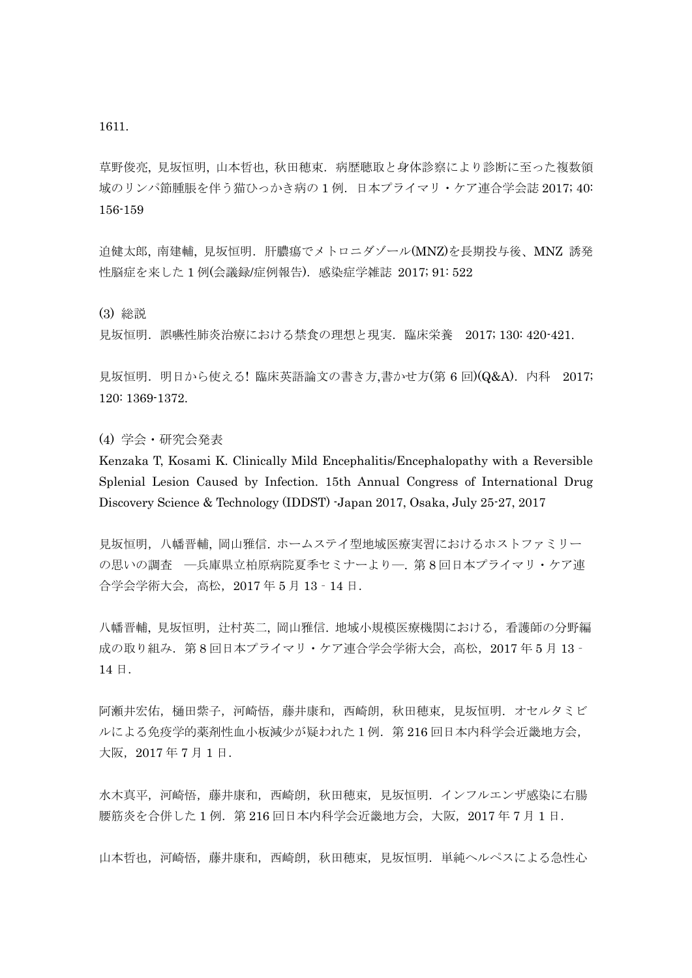1611.

草野俊亮, 見坂恒明, 山本哲也, 秋田穂束.病歴聴取と身体診察により診断に至った複数領 域のリンパ節腫脹を伴う猫ひっかき病の 1 例.日本プライマリ・ケア連合学会誌 2017; 40: 156-159

迫健太郎, 南建輔, 見坂恒明.肝膿瘍でメトロニダゾール(MNZ)を長期投与後、MNZ 誘発 性脳症を来した1例(会議録/症例報告). 感染症学雑誌 2017; 91: 522

(3) 総説

見坂恒明.誤嚥性肺炎治療における禁食の理想と現実.臨床栄養 2017; 130: 420-421.

見坂恒明. 明日から使える! 臨床英語論文の書き方,書かせ方(第 6回)(Q&A). 内科 2017; 120: 1369-1372.

(4) 学会・研究会発表

Kenzaka T, Kosami K. Clinically Mild Encephalitis/Encephalopathy with a Reversible Splenial Lesion Caused by Infection. 15th Annual Congress of International Drug Discovery Science & Technology (IDDST) -Japan 2017, Osaka, July 25-27, 2017

見坂恒明,八幡晋輔, 岡山雅信. ホームステイ型地域医療実習におけるホストファミリー の思いの調査 一兵庫県立柏原病院夏季セミナーよりー. 第8回日本プライマリ・ケア連 合学会学術大会,高松,2017 年 5 月 13‐14 日.

八幡晋輔, 見坂恒明, 辻村英二, 岡山雅信. 地域小規模医療機関における, 看護師の分野編 成の取り組み. 第8回日本プライマリ・ケア連合学会学術大会, 高松, 2017年5月13-14 日.

阿瀬井宏佑,樋田紫子,河崎悟,藤井康和,西崎朗,秋田穂束,見坂恒明.オセルタミビ ルによる免疫学的薬剤性血小板減少が疑われた1例.第 216 回日本内科学会近畿地方会, 大阪,2017 年 7 月 1 日.

水木真平,河崎悟,藤井康和,西崎朗,秋田穂束,見坂恒明.インフルエンザ感染に右腸 腰筋炎を合併した 1 例. 第 216 回日本内科学会近畿地方会, 大阪, 2017 年 7 月 1 日.

山本哲也,河崎悟,藤井康和,西崎朗,秋田穂束,見坂恒明.単純ヘルペスによる急性心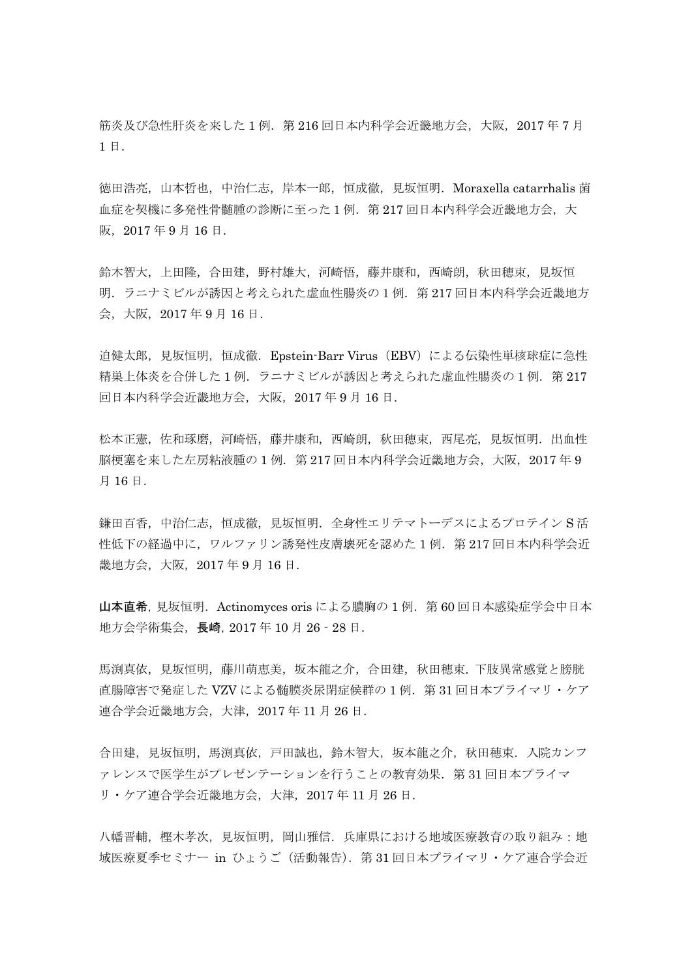筋炎及び急性肝炎を来した1例. 第216回日本内科学会近畿地方会,大阪,2017年7月 1 日.

徳田浩亮,山本哲也,中治仁志,岸本一郎,恒成徹,見坂恒明.Moraxella catarrhalis 菌 血症を契機に多発性骨髄腫の診断に至った1例.第 217 回日本内科学会近畿地方会,大 阪,2017 年 9 月 16 日.

鈴木智大,上田隆,合田建,野村雄大,河崎悟,藤井康和,西崎朗,秋田穂束,見坂恒 明.ラニナミビルが誘因と考えられた虚血性腸炎の1例.第 217 回日本内科学会近畿地方 会,大阪,2017 年 9 月 16 日.

迫健太郎, 見坂恒明, 恒成徹. Epstein-Barr Virus (EBV) による伝染性単核球症に急性 精巣上体炎を合併した1例. ラニナミビルが誘因と考えられた虚血性腸炎の1例. 第217 回日本内科学会近畿地方会,大阪,2017 年 9 月 16 日.

松本正憲,佐和琢磨,河崎悟,藤井康和,西崎朗,秋田穂束,西尾亮,見坂恒明,出血性 脳梗塞を来した左房粘液腫の 1 例.第 217 回日本内科学会近畿地方会,大阪,2017 年 9 月 16 日.

鎌田百香,中治仁志,恒成徹,見坂恒明. 全身性エリテマトーデスによるプロテイン S 活 性低下の経過中に,ワルファリン誘発性皮膚壊死を認めた 1 例.第 217 回日本内科学会近 畿地方会,大阪,2017 年 9 月 16 日.

山本直希,見坂恒明.Actinomyces oris による膿胸の 1 例.第 60 回日本感染症学会中日本 地方会学術集会,長崎,2017 年 10 月 26‐28 日.

馬渕真依,見坂恒明,藤川萌恵美,坂本龍之介,合田建,秋田穂束.下肢異常感覚と膀胱 直腸障害で発症した VZV による髄膜炎尿閉症候群の1例. 第31回日本プライマリ・ケア 連合学会近畿地方会,大津,2017 年 11 月 26 日.

合田建,見坂恒明,馬渕真依,戸田誠也,鈴木智大,坂本龍之介,秋田穂束.入院カンフ ァレンスで医学生がプレゼンテーションを行うことの教育効果. 第31回日本プライマ リ・ケア連合学会近畿地方会,大津,2017 年 11 月 26 日.

八幡晋輔,樫木孝次,見坂恒明,岡山雅信.兵庫県における地域医療教育の取り組み:地 域医療夏季セミナー in ひょうご (活動報告). 第31回日本プライマリ・ケア連合学会近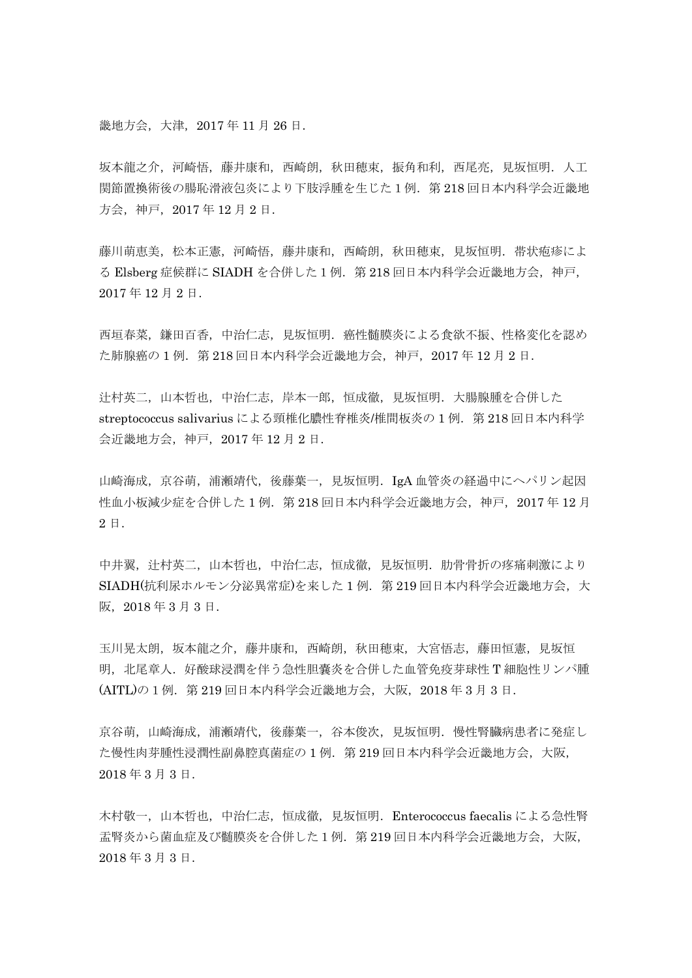畿地方会,大津,2017 年 11 月 26 日.

坂本龍之介,河崎悟,藤井康和,西崎朗,秋田穂束,振角和利,西尾亮,見坂恒明.人工 関節置換術後の腸恥滑液包炎により下肢浮腫を生じた1例.第 218 回日本内科学会近畿地 方会,神戸,2017 年 12 月 2 日.

藤川萌恵美,松本正憲,河崎悟,藤井康和,西崎朗,秋田穂束,見坂恒明.帯状疱疹によ る Elsberg 症候群に SIADH を合併した1例. 第218回日本内科学会近畿地方会,神戸, 2017 年 12 月 2 日.

西垣春菜,鎌田百香,中治仁志,見坂恒明.癌性髄膜炎による食欲不振、性格変化を認め た肺腺癌の1例. 第218回日本内科学会近畿地方会,神戸, 2017年12月2日.

辻村英二,山本哲也,中治仁志,岸本一郎,恒成徹,見坂恒明.大腸腺腫を合併した streptococcus salivarius による頸椎化膿性脊椎炎/椎間板炎の1例. 第218回日本内科学 会近畿地方会,神戸,2017 年 12 月 2 日.

山崎海成, 京谷萌, 浦瀬靖代, 後藤葉一, 見坂恒明. IgA 血管炎の経過中にヘパリン起因 性血小板減少症を合併した1例. 第218回日本内科学会近畿地方会,神戸, 2017年12月 2 日.

中井翼,辻村英二,山本哲也,中治仁志,恒成徹,見坂恒明.肋骨骨折の疼痛刺激により SIADH(抗利尿ホルモン分泌異常症)を来した 1 例.第 219 回日本内科学会近畿地方会,大 阪,2018 年 3 月 3 日.

玉川晃太朗,坂本龍之介,藤井康和,西崎朗,秋田穂束,大宮悟志,藤田恒憲,見坂恒 明, 北尾章人. 好酸球浸潤を伴う急性胆嚢炎を合併した血管免疫芽球性 T 細胞性リンパ腫 (AITL)の1例.第 219 回日本内科学会近畿地方会,大阪,2018 年 3 月 3 日.

京谷萌,山崎海成,浦瀬靖代,後藤葉一,谷本俊次,見坂恒明. 慢性腎臓病患者に発症し た慢性肉芽腫性浸潤性副鼻腔真菌症の 1 例.第 219 回日本内科学会近畿地方会,大阪, 2018 年 3 月 3 日.

木村敬一,山本哲也,中治仁志,恒成徹,見坂恒明. Enterococcus faecalis による急性腎 盂腎炎から菌血症及び髄膜炎を合併した1例.第 219 回日本内科学会近畿地方会,大阪, 2018 年 3 月 3 日.